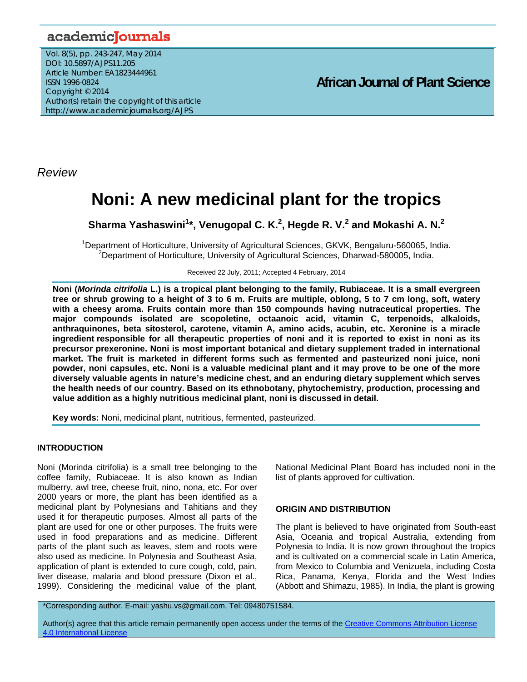# academicJournals

Vol. 8(5), pp. 243-247, May 2014 DOI: 10.5897/AJPS11.205 Article Number: EA1823444961 ISSN 1996-0824 Copyright © 2014 Author(s) retain the copyright of this article http://www.academicjournals.org/AJPS

*Review* 

# **Noni: A new medicinal plant for the tropics**

 $Sharma Yashaswini<sup>1</sup>*, Venugopal C. K.<sup>2</sup>, Hegde R. V.<sup>2</sup> and Mokashi A. N.<sup>2</sup>$ 

<sup>1</sup>Department of Horticulture, University of Agricultural Sciences, GKVK, Bengaluru-560065, India.  $P^2$ Department of Horticulture, University of Agricultural Sciences, Dharwad-580005, India.

Received 22 July, 2011; Accepted 4 February, 2014

**Noni (***Morinda citrifolia* **L.) is a tropical plant belonging to the family, Rubiaceae. It is a small evergreen tree or shrub growing to a height of 3 to 6 m. Fruits are multiple, oblong, 5 to 7 cm long, soft, watery with a cheesy aroma. Fruits contain more than 150 compounds having nutraceutical properties. The major compounds isolated are scopoletine, octaanoic acid, vitamin C, terpenoids, alkaloids, anthraquinones, beta sitosterol, carotene, vitamin A, amino acids, acubin, etc. Xeronine is a miracle ingredient responsible for all therapeutic properties of noni and it is reported to exist in noni as its precursor prexeronine. Noni is most important botanical and dietary supplement traded in international market. The fruit is marketed in different forms such as fermented and pasteurized noni juice, noni powder, noni capsules, etc. Noni is a valuable medicinal plant and it may prove to be one of the more diversely valuable agents in nature's medicine chest, and an enduring dietary supplement which serves the health needs of our country. Based on its ethnobotany, phytochemistry, production, processing and value addition as a highly nutritious medicinal plant, noni is discussed in detail.** 

**Key words:** Noni, medicinal plant, nutritious, fermented, pasteurized.

# **INTRODUCTION**

Noni (Morinda citrifolia) is a small tree belonging to the coffee family, Rubiaceae. It is also known as Indian mulberry, awl tree, cheese fruit, nino, nona, etc. For over 2000 years or more, the plant has been identified as a medicinal plant by Polynesians and Tahitians and they used it for therapeutic purposes. Almost all parts of the plant are used for one or other purposes. The fruits were used in food preparations and as medicine. Different parts of the plant such as leaves, stem and roots were also used as medicine. In Polynesia and Southeast Asia, application of plant is extended to cure cough, cold, pain, liver disease, malaria and blood pressure (Dixon et al., 1999). Considering the medicinal value of the plant, National Medicinal Plant Board has included noni in the list of plants approved for cultivation.

# **ORIGIN AND DISTRIBUTION**

The plant is believed to have originated from South-east Asia, Oceania and tropical Australia, extending from Polynesia to India. It is now grown throughout the tropics and is cultivated on a commercial scale in Latin America, from Mexico to Columbia and Venizuela, including Costa Rica, Panama, Kenya, Florida and the West Indies (Abbott and Shimazu, 1985). In India, the plant is growing

\*Corresponding author. E-mail: yashu.vs@gmail.com. Tel: 09480751584.

Author(s) agree that this article remain permanently open access under the terms of the Creative Commons Attribution License 4.0 International License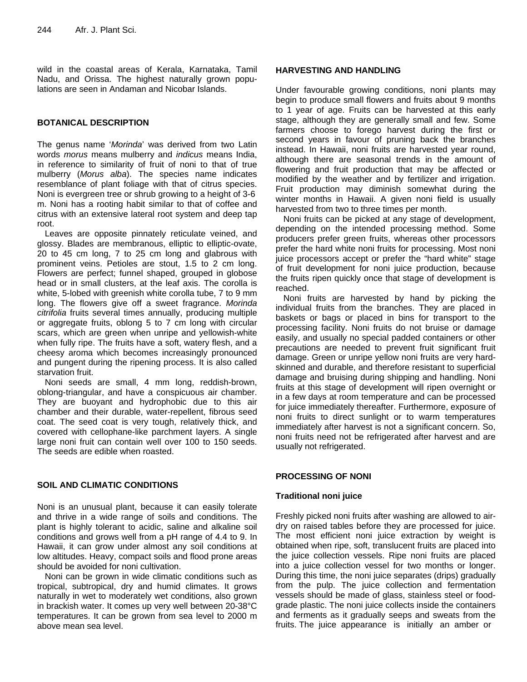wild in the coastal areas of Kerala, Karnataka, Tamil Nadu, and Orissa. The highest naturally grown populations are seen in Andaman and Nicobar Islands.

### **BOTANICAL DESCRIPTION**

The genus name '*Morinda*' was derived from two Latin words *morus* means mulberry and *indicus* means India, in reference to similarity of fruit of noni to that of true mulberry (*Morus alba*). The species name indicates resemblance of plant foliage with that of citrus species. Noni is evergreen tree or shrub growing to a height of 3-6 m. Noni has a rooting habit similar to that of coffee and citrus with an extensive lateral root system and deep tap root.

Leaves are opposite pinnately reticulate veined, and glossy. Blades are membranous, elliptic to elliptic-ovate, 20 to 45 cm long, 7 to 25 cm long and glabrous with prominent veins. Petioles are stout, 1.5 to 2 cm long. Flowers are perfect; funnel shaped, grouped in globose head or in small clusters, at the leaf axis. The corolla is white, 5-lobed with greenish white corolla tube, 7 to 9 mm long. The flowers give off a sweet fragrance. *Morinda citrifolia* fruits several times annually, producing multiple or aggregate fruits, oblong 5 to 7 cm long with circular scars, which are green when unripe and yellowish-white when fully ripe. The fruits have a soft, watery flesh, and a cheesy aroma which becomes increasingly pronounced and pungent during the ripening process. It is also called starvation fruit.

Noni seeds are small, 4 mm long, reddish-brown, oblong-triangular, and have a conspicuous air chamber. They are buoyant and hydrophobic due to this air chamber and their durable, water-repellent, fibrous seed coat. The seed coat is very tough, relatively thick, and covered with cellophane-like parchment layers. A single large noni fruit can contain well over 100 to 150 seeds. The seeds are edible when roasted.

#### **SOIL AND CLIMATIC CONDITIONS**

Noni is an unusual plant, because it can easily tolerate and thrive in a wide range of soils and conditions. The plant is highly tolerant to acidic, saline and alkaline soil conditions and grows well from a pH range of 4.4 to 9. In Hawaii, it can grow under almost any soil conditions at low altitudes. Heavy, compact soils and flood prone areas should be avoided for noni cultivation.

Noni can be grown in wide climatic conditions such as tropical, subtropical, dry and humid climates. It grows naturally in wet to moderately wet conditions, also grown in brackish water. It comes up very well between 20-38°C temperatures. It can be grown from sea level to 2000 m above mean sea level.

#### **HARVESTING AND HANDLING**

Under favourable growing conditions, noni plants may begin to produce small flowers and fruits about 9 months to 1 year of age. Fruits can be harvested at this early stage, although they are generally small and few. Some farmers choose to forego harvest during the first or second years in favour of pruning back the branches instead. In Hawaii, noni fruits are harvested year round, although there are seasonal trends in the amount of flowering and fruit production that may be affected or modified by the weather and by fertilizer and irrigation. Fruit production may diminish somewhat during the winter months in Hawaii. A given noni field is usually harvested from two to three times per month.

Noni fruits can be picked at any stage of development, depending on the intended processing method. Some producers prefer green fruits, whereas other processors prefer the hard white noni fruits for processing. Most noni juice processors accept or prefer the "hard white" stage of fruit development for noni juice production, because the fruits ripen quickly once that stage of development is reached.

Noni fruits are harvested by hand by picking the individual fruits from the branches. They are placed in baskets or bags or placed in bins for transport to the processing facility. Noni fruits do not bruise or damage easily, and usually no special padded containers or other precautions are needed to prevent fruit significant fruit damage. Green or unripe yellow noni fruits are very hardskinned and durable, and therefore resistant to superficial damage and bruising during shipping and handling. Noni fruits at this stage of development will ripen overnight or in a few days at room temperature and can be processed for juice immediately thereafter. Furthermore, exposure of noni fruits to direct sunlight or to warm temperatures immediately after harvest is not a significant concern. So, noni fruits need not be refrigerated after harvest and are usually not refrigerated.

#### **PROCESSING OF NONI**

#### **Traditional noni juice**

Freshly picked noni fruits after washing are allowed to airdry on raised tables before they are processed for juice. The most efficient noni juice extraction by weight is obtained when ripe, soft, translucent fruits are placed into the juice collection vessels. Ripe noni fruits are placed into a juice collection vessel for two months or longer. During this time, the noni juice separates (drips) gradually from the pulp. The juice collection and fermentation vessels should be made of glass, stainless steel or foodgrade plastic. The noni juice collects inside the containers and ferments as it gradually seeps and sweats from the fruits. The juice appearance is initially an amber or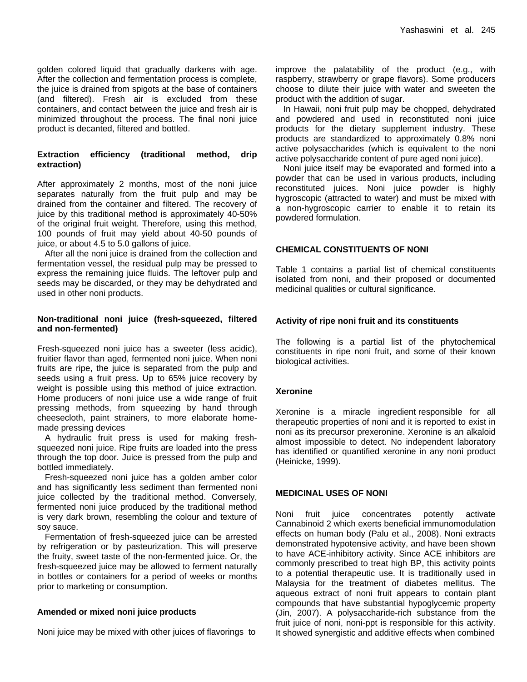golden colored liquid that gradually darkens with age. After the collection and fermentation process is complete, the juice is drained from spigots at the base of containers (and filtered). Fresh air is excluded from these containers, and contact between the juice and fresh air is minimized throughout the process. The final noni juice product is decanted, filtered and bottled.

#### **Extraction efficiency (traditional method, drip extraction)**

After approximately 2 months, most of the noni juice separates naturally from the fruit pulp and may be drained from the container and filtered. The recovery of juice by this traditional method is approximately 40-50% of the original fruit weight. Therefore, using this method, 100 pounds of fruit may yield about 40-50 pounds of juice, or about 4.5 to 5.0 gallons of juice.

After all the noni juice is drained from the collection and fermentation vessel, the residual pulp may be pressed to express the remaining juice fluids. The leftover pulp and seeds may be discarded, or they may be dehydrated and used in other noni products.

#### **Non-traditional noni juice (fresh-squeezed, filtered and non-fermented)**

Fresh-squeezed noni juice has a sweeter (less acidic), fruitier flavor than aged, fermented noni juice. When noni fruits are ripe, the juice is separated from the pulp and seeds using a fruit press. Up to 65% juice recovery by weight is possible using this method of juice extraction. Home producers of noni juice use a wide range of fruit pressing methods, from squeezing by hand through cheesecloth, paint strainers, to more elaborate homemade pressing devices

A hydraulic fruit press is used for making freshsqueezed noni juice. Ripe fruits are loaded into the press through the top door. Juice is pressed from the pulp and bottled immediately.

Fresh-squeezed noni juice has a golden amber color and has significantly less sediment than fermented noni juice collected by the traditional method. Conversely, fermented noni juice produced by the traditional method is very dark brown, resembling the colour and texture of soy sauce.

Fermentation of fresh-squeezed juice can be arrested by refrigeration or by pasteurization. This will preserve the fruity, sweet taste of the non-fermented juice. Or, the fresh-squeezed juice may be allowed to ferment naturally in bottles or containers for a period of weeks or months prior to marketing or consumption.

#### **Amended or mixed noni juice products**

Noni juice may be mixed with other juices of flavorings to

improve the palatability of the product (e.g., with raspberry, strawberry or grape flavors). Some producers choose to dilute their juice with water and sweeten the product with the addition of sugar.

In Hawaii, noni fruit pulp may be chopped, dehydrated and powdered and used in reconstituted noni juice products for the dietary supplement industry. These products are standardized to approximately 0.8% noni active polysaccharides (which is equivalent to the noni active polysaccharide content of pure aged noni juice).

Noni juice itself may be evaporated and formed into a powder that can be used in various products, including reconstituted juices. Noni juice powder is highly hygroscopic (attracted to water) and must be mixed with a non-hygroscopic carrier to enable it to retain its powdered formulation.

### **CHEMICAL CONSTITUENTS OF NONI**

Table 1 contains a partial list of chemical constituents isolated from noni, and their proposed or documented medicinal qualities or cultural significance.

### **Activity of ripe noni fruit and its constituents**

The following is a partial list of the phytochemical constituents in ripe noni fruit, and some of their known biological activities.

#### **Xeronine**

Xeronine is a miracle ingredient responsible for all therapeutic properties of noni and it is reported to exist in noni as its precursor prexeronine. Xeronine is an alkaloid almost impossible to detect. No independent laboratory has identified or quantified xeronine in any noni product (Heinicke, 1999).

#### **MEDICINAL USES OF NONI**

Noni fruit juice concentrates potently activate Cannabinoid 2 which exerts beneficial immunomodulation effects on human body (Palu et al., 2008). Noni extracts demonstrated hypotensive activity, and have been shown to have ACE-inhibitory activity. Since ACE inhibitors are commonly prescribed to treat high BP, this activity points to a potential therapeutic use. It is traditionally used in Malaysia for the treatment of diabetes mellitus. The aqueous extract of noni fruit appears to contain plant compounds that have substantial hypoglycemic property (Jin, 2007). A polysaccharide-rich substance from the fruit juice of noni, noni-ppt is responsible for this activity. It showed synergistic and additive effects when combined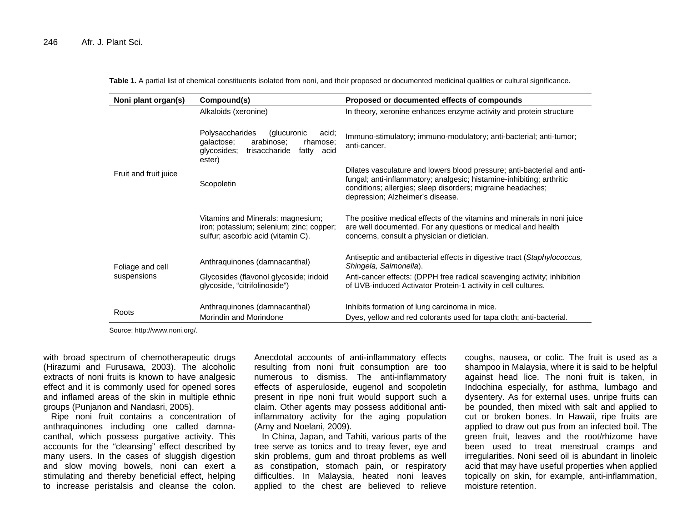| Noni plant organ(s)             | Compound(s)                                                                                                                                | Proposed or documented effects of compounds                                                                                                                                                                                                         |
|---------------------------------|--------------------------------------------------------------------------------------------------------------------------------------------|-----------------------------------------------------------------------------------------------------------------------------------------------------------------------------------------------------------------------------------------------------|
| Fruit and fruit juice           | Alkaloids (xeronine)                                                                                                                       | In theory, xeronine enhances enzyme activity and protein structure                                                                                                                                                                                  |
|                                 | Polysaccharides<br>(glucuronic<br>acid;<br>galactose;<br>arabinose;<br>rhamose;<br>glycosides;<br>trisaccharide<br>fatty<br>acid<br>ester) | Immuno-stimulatory; immuno-modulatory; anti-bacterial; anti-tumor;<br>anti-cancer.                                                                                                                                                                  |
|                                 | Scopoletin                                                                                                                                 | Dilates vasculature and lowers blood pressure; anti-bacterial and anti-<br>fungal; anti-inflammatory; analgesic; histamine-inhibiting; arthritic<br>conditions; allergies; sleep disorders; migraine headaches;<br>depression; Alzheimer's disease. |
|                                 | Vitamins and Minerals: magnesium;<br>iron; potassium; selenium; zinc; copper;<br>sulfur; ascorbic acid (vitamin C).                        | The positive medical effects of the vitamins and minerals in noni juice<br>are well documented. For any questions or medical and health<br>concerns, consult a physician or dietician.                                                              |
| Foliage and cell<br>suspensions | Anthraquinones (damnacanthal)                                                                                                              | Antiseptic and antibacterial effects in digestive tract (Staphylococcus,<br>Shingela, Salmonella).                                                                                                                                                  |
|                                 | Glycosides (flavonol glycoside; iridoid<br>glycoside, "citrifolinoside")                                                                   | Anti-cancer effects: (DPPH free radical scavenging activity; inhibition<br>of UVB-induced Activator Protein-1 activity in cell cultures.                                                                                                            |
| Roots                           | Anthraguinones (damnacanthal)<br>Morindin and Morindone                                                                                    | Inhibits formation of lung carcinoma in mice.<br>Dyes, yellow and red colorants used for tapa cloth; anti-bacterial.                                                                                                                                |

**Table 1.** A partial list of chemical constituents isolated from noni, and their proposed or documented medicinal qualities or cultural significance.

Source: http://www.noni.org/.

with broad spectrum of chemotherapeutic drugs (Hirazumi and Furusawa, 2003). The alcoholic extracts of noni fruits is known to have analgesic effect and it is commonly used for opened sores and inflamed areas of the skin in multiple ethnic groups (Punjanon and Nandasri, 2005).

Ripe noni fruit contains a concentration of anthraquinones including one called damnacanthal, which possess purgative activity. This accounts for the "cleansing" effect described by many users. In the cases of sluggish digestion and slow moving bowels, noni can exert a stimulating and thereby beneficial effect, helping to increase peristalsis and cleanse the colon.

Anecdotal accounts of anti-inflammatory effects resulting from noni fruit consumption are too numerous to dismiss. The anti-inflammatory effects of asperuloside, eugenol and scopoletin present in ripe noni fruit would support such a claim. Other agents may possess additional antiinflammatory activity for the aging population (Amy and Noelani, 2009).

In China, Japan, and Tahiti, various parts of the tree serve as tonics and to treay fever, eye and skin problems, gum and throat problems as well as constipation, stomach pain, or respiratory difficulties. In Malaysia, heated noni leaves applied to the chest are believed to relieve

coughs, nausea, or colic. The fruit is used as a shampoo in Malaysia, where it is said to be helpful against head lice. The noni fruit is taken, in Indochina especially, for asthma, lumbago and dysentery. As for external uses, unripe fruits can be pounded, then mixed with salt and applied to cut or broken bones. In Hawaii, ripe fruits are applied to draw out pus from an infected boil. The green fruit, leaves and the root/rhizome have been used to treat menstrual cramps and irregularities. Noni seed oil is abundant in linoleic acid that may have useful properties when applied topically on skin, for example, anti-inflammation, moisture retention.